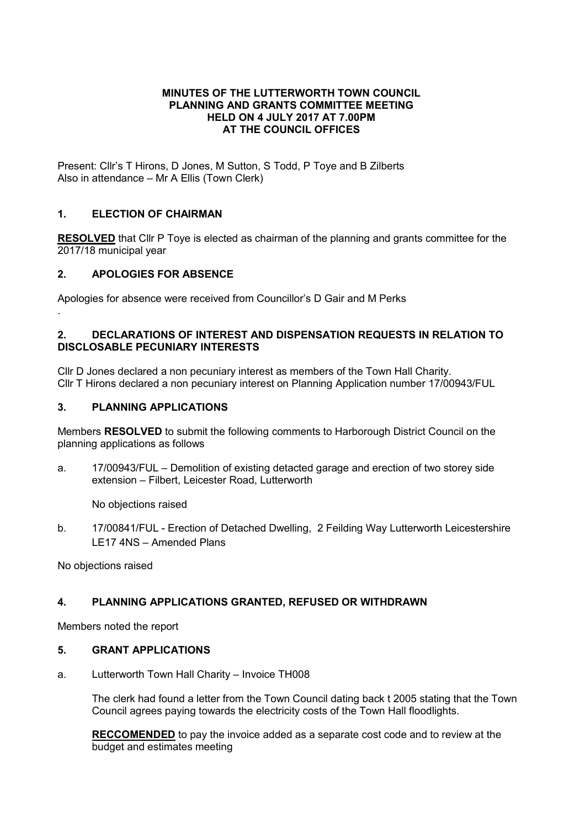#### MINUTES OF THE LUTTERWORTH TOWN COUNCIL PLANNING AND GRANTS COMMITTEE MEETING HELD ON 4 JULY 2017 AT 7.00PM AT THE COUNCIL OFFICES

Present: Cllr's T Hirons, D Jones, M Sutton, S Todd, P Toye and B Zilberts Also in attendance – Mr A Ellis (Town Clerk)

## 1. ELECTION OF CHAIRMAN

**RESOLVED** that Cllr P Toye is elected as chairman of the planning and grants committee for the 2017/18 municipal year

## 2. APOLOGIES FOR ABSENCE

.

Apologies for absence were received from Councillor's D Gair and M Perks

### 2. DECLARATIONS OF INTEREST AND DISPENSATION REQUESTS IN RELATION TO DISCLOSABLE PECUNIARY INTERESTS

Cllr D Jones declared a non pecuniary interest as members of the Town Hall Charity. Cllr T Hirons declared a non pecuniary interest on Planning Application number 17/00943/FUL

### 3. PLANNING APPLICATIONS

Members RESOLVED to submit the following comments to Harborough District Council on the planning applications as follows

a. 17/00943/FUL – Demolition of existing detacted garage and erection of two storey side extension – Filbert, Leicester Road, Lutterworth

No objections raised

b. 17/00841/FUL - Erection of Detached Dwelling, 2 Feilding Way Lutterworth Leicestershire LE17 4NS – Amended Plans

No objections raised

# 4. PLANNING APPLICATIONS GRANTED, REFUSED OR WITHDRAWN

Members noted the report

### 5. GRANT APPLICATIONS

a. Lutterworth Town Hall Charity – Invoice TH008

The clerk had found a letter from the Town Council dating back t 2005 stating that the Town Council agrees paying towards the electricity costs of the Town Hall floodlights.

RECCOMENDED to pay the invoice added as a separate cost code and to review at the budget and estimates meeting